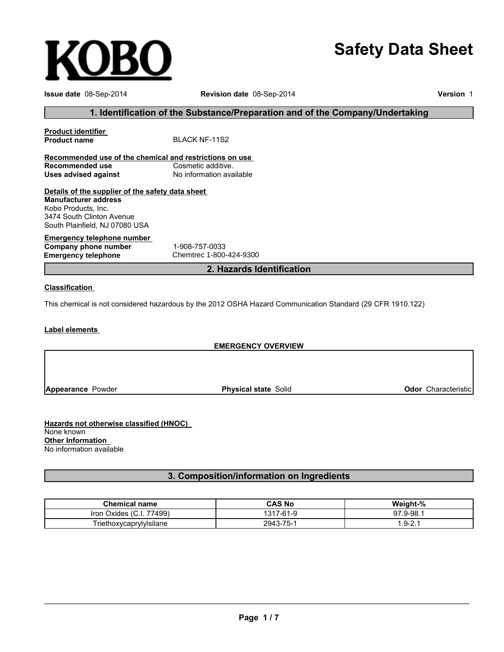# **Safety Data Sheet**

| Issue date 08-Sep-2014                                                                                                                                                | Revision date 08-Sep-2014                                                                                  | Version 1 |  |  |
|-----------------------------------------------------------------------------------------------------------------------------------------------------------------------|------------------------------------------------------------------------------------------------------------|-----------|--|--|
|                                                                                                                                                                       | 1. Identification of the Substance/Preparation and of the Company/Undertaking                              |           |  |  |
| <b>Product identifier</b><br><b>Product name</b>                                                                                                                      | <b>BLACK NF-11S2</b>                                                                                       |           |  |  |
| Recommended use of the chemical and restrictions on use                                                                                                               |                                                                                                            |           |  |  |
| <b>Recommended use</b><br><b>Uses advised against</b>                                                                                                                 | Cosmetic additive.<br>No information available                                                             |           |  |  |
| Details of the supplier of the safety data sheet<br><b>Manufacturer address</b><br>Kobo Products, Inc.<br>3474 South Clinton Avenue<br>South Plainfield, NJ 07080 USA |                                                                                                            |           |  |  |
| <b>Emergency telephone number</b><br>Company phone number<br><b>Emergency telephone</b>                                                                               | 1-908-757-0033<br>Chemtrec 1-800-424-9300                                                                  |           |  |  |
|                                                                                                                                                                       | 2. Hazards Identification                                                                                  |           |  |  |
| <b>Classification</b>                                                                                                                                                 |                                                                                                            |           |  |  |
|                                                                                                                                                                       | This chemical is not considered hazardous by the 2012 OSHA Hazard Communication Standard (29 CFR 1910.122) |           |  |  |
| Label elements                                                                                                                                                        |                                                                                                            |           |  |  |
|                                                                                                                                                                       | <b>EMERGENCY OVERVIEW</b>                                                                                  |           |  |  |
|                                                                                                                                                                       |                                                                                                            |           |  |  |
|                                                                                                                                                                       |                                                                                                            |           |  |  |

**Appearance** Powder

**Physical state** Solid **Odor** Characteristic

**Hazards not otherwise classified (HNOC)** None known **Other Information** No information available

**KOBO** 

**3. Composition/information on Ingredients**

| <b>Chemical name</b>                              | CAS No                                | Weight-%                             |
|---------------------------------------------------|---------------------------------------|--------------------------------------|
| 77499)<br>$\sim$<br><b>Iron</b><br>Oxides<br>v.i. | <b>61 O</b><br><u>۔</u><br>/ -o । - ५ | $^{\prime}.9$ -98. $^{\prime}$<br>97 |
| I riethoxycaprylylsilane                          | 2943-75-1                             | $-49$ - $-2$                         |

\_\_\_\_\_\_\_\_\_\_\_\_\_\_\_\_\_\_\_\_\_\_\_\_\_\_\_\_\_\_\_\_\_\_\_\_\_\_\_\_\_\_\_\_\_\_\_\_\_\_\_\_\_\_\_\_\_\_\_\_\_\_\_\_\_\_\_\_\_\_\_\_\_\_\_\_\_\_\_\_\_\_\_\_\_\_\_\_\_\_\_\_\_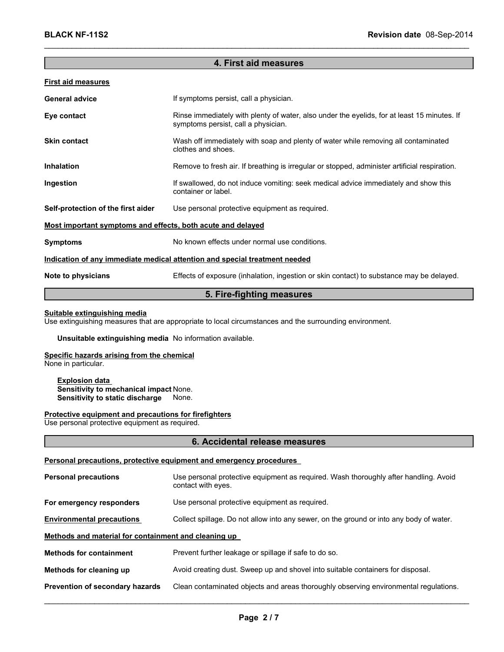## **4. First aid measures**

\_\_\_\_\_\_\_\_\_\_\_\_\_\_\_\_\_\_\_\_\_\_\_\_\_\_\_\_\_\_\_\_\_\_\_\_\_\_\_\_\_\_\_\_\_\_\_\_\_\_\_\_\_\_\_\_\_\_\_\_\_\_\_\_\_\_\_\_\_\_\_\_\_\_\_\_\_\_\_\_\_\_\_\_\_\_\_\_\_\_\_\_\_

#### **First aid measures**

| <b>General advice</b>                                                      | If symptoms persist, call a physician.                                                                                             |  |
|----------------------------------------------------------------------------|------------------------------------------------------------------------------------------------------------------------------------|--|
| Eye contact                                                                | Rinse immediately with plenty of water, also under the eyelids, for at least 15 minutes. If<br>symptoms persist, call a physician. |  |
| <b>Skin contact</b>                                                        | Wash off immediately with soap and plenty of water while removing all contaminated<br>clothes and shoes.                           |  |
| <b>Inhalation</b>                                                          | Remove to fresh air. If breathing is irregular or stopped, administer artificial respiration.                                      |  |
| Ingestion                                                                  | If swallowed, do not induce vomiting: seek medical advice immediately and show this<br>container or label.                         |  |
| Self-protection of the first aider                                         | Use personal protective equipment as required.                                                                                     |  |
| Most important symptoms and effects, both acute and delayed                |                                                                                                                                    |  |
| <b>Symptoms</b>                                                            | No known effects under normal use conditions.                                                                                      |  |
| Indication of any immediate medical attention and special treatment needed |                                                                                                                                    |  |
| Note to physicians                                                         | Effects of exposure (inhalation, ingestion or skin contact) to substance may be delayed.                                           |  |

## **5. Fire-fighting measures**

#### **Suitable extinguishing media**

Use extinguishing measures that are appropriate to local circumstances and the surrounding environment.

#### **Unsuitable extinguishing media** No information available.

# **Specific hazards arising from the chemical**

None in particular.

**Explosion data Sensitivity to mechanical impact** None. **Sensitivity to static discharge** None.

#### **Protective equipment and precautions for firefighters**

Use personal protective equipment as required.

#### **6. Accidental release measures**

#### **Personal precautions, protective equipment and emergency procedures**

| <b>Personal precautions</b>                          | Use personal protective equipment as required. Wash thoroughly after handling. Avoid<br>contact with eyes. |  |  |
|------------------------------------------------------|------------------------------------------------------------------------------------------------------------|--|--|
| For emergency responders                             | Use personal protective equipment as required.                                                             |  |  |
| <b>Environmental precautions</b>                     | Collect spillage. Do not allow into any sewer, on the ground or into any body of water.                    |  |  |
| Methods and material for containment and cleaning up |                                                                                                            |  |  |
| <b>Methods for containment</b>                       | Prevent further leakage or spillage if safe to do so.                                                      |  |  |
| Methods for cleaning up                              | Avoid creating dust. Sweep up and shovel into suitable containers for disposal.                            |  |  |
| Prevention of secondary hazards                      | Clean contaminated objects and areas thoroughly observing environmental regulations.                       |  |  |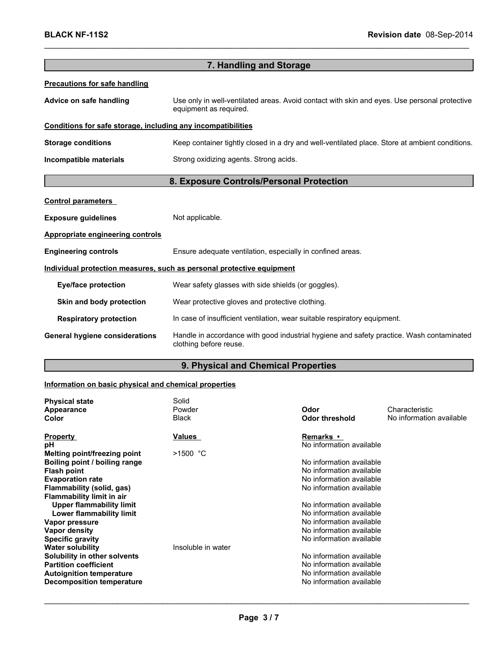| 7. Handling and Storage                                      |                                                                                                                        |  |  |
|--------------------------------------------------------------|------------------------------------------------------------------------------------------------------------------------|--|--|
| <b>Precautions for safe handling</b>                         |                                                                                                                        |  |  |
| Advice on safe handling                                      | Use only in well-ventilated areas. Avoid contact with skin and eyes. Use personal protective<br>equipment as required. |  |  |
| Conditions for safe storage, including any incompatibilities |                                                                                                                        |  |  |
| <b>Storage conditions</b>                                    | Keep container tightly closed in a dry and well-ventilated place. Store at ambient conditions.                         |  |  |
| Incompatible materials                                       | Strong oxidizing agents. Strong acids.                                                                                 |  |  |
| 8. Exposure Controls/Personal Protection                     |                                                                                                                        |  |  |
| <b>Control parameters</b>                                    |                                                                                                                        |  |  |
| <b>Exposure guidelines</b>                                   | Not applicable.                                                                                                        |  |  |
| <b>Appropriate engineering controls</b>                      |                                                                                                                        |  |  |
| <b>Engineering controls</b>                                  | Ensure adequate ventilation, especially in confined areas.                                                             |  |  |
|                                                              | Individual protection measures, such as personal protective equipment                                                  |  |  |
| <b>Eye/face protection</b>                                   | Wear safety glasses with side shields (or goggles).                                                                    |  |  |
| Skin and body protection                                     | Wear protective gloves and protective clothing.                                                                        |  |  |
| <b>Respiratory protection</b>                                | In case of insufficient ventilation, wear suitable respiratory equipment.                                              |  |  |
| <b>General hygiene considerations</b>                        | Handle in accordance with good industrial hygiene and safety practice. Wash contaminated<br>clothing before reuse.     |  |  |

\_\_\_\_\_\_\_\_\_\_\_\_\_\_\_\_\_\_\_\_\_\_\_\_\_\_\_\_\_\_\_\_\_\_\_\_\_\_\_\_\_\_\_\_\_\_\_\_\_\_\_\_\_\_\_\_\_\_\_\_\_\_\_\_\_\_\_\_\_\_\_\_\_\_\_\_\_\_\_\_\_\_\_\_\_\_\_\_\_\_\_\_\_

# **9. Physical and Chemical Properties 19. Physical and Chemical Properties**

## **Information on basic physical and chemical properties**

| <b>Physical state</b><br>Appearance | Solid<br>Powder    | Odor                     | Characteristic           |
|-------------------------------------|--------------------|--------------------------|--------------------------|
| Color                               | <b>Black</b>       | <b>Odor threshold</b>    | No information available |
| <b>Property</b>                     | <b>Values</b>      | Remarks •                |                          |
| рH                                  |                    | No information available |                          |
| Melting point/freezing point        | $>1500$ °C         |                          |                          |
| Boiling point / boiling range       |                    | No information available |                          |
| <b>Flash point</b>                  |                    | No information available |                          |
| <b>Evaporation rate</b>             |                    | No information available |                          |
| Flammability (solid, gas)           |                    | No information available |                          |
| <b>Flammability limit in air</b>    |                    |                          |                          |
| <b>Upper flammability limit</b>     |                    | No information available |                          |
| Lower flammability limit            |                    | No information available |                          |
| Vapor pressure                      |                    | No information available |                          |
| Vapor density                       |                    | No information available |                          |
| <b>Specific gravity</b>             |                    | No information available |                          |
| <b>Water solubility</b>             | Insoluble in water |                          |                          |
| Solubility in other solvents        |                    | No information available |                          |
| <b>Partition coefficient</b>        |                    | No information available |                          |
| <b>Autoignition temperature</b>     |                    | No information available |                          |
| Decomposition temperature           |                    | No information available |                          |
|                                     |                    |                          |                          |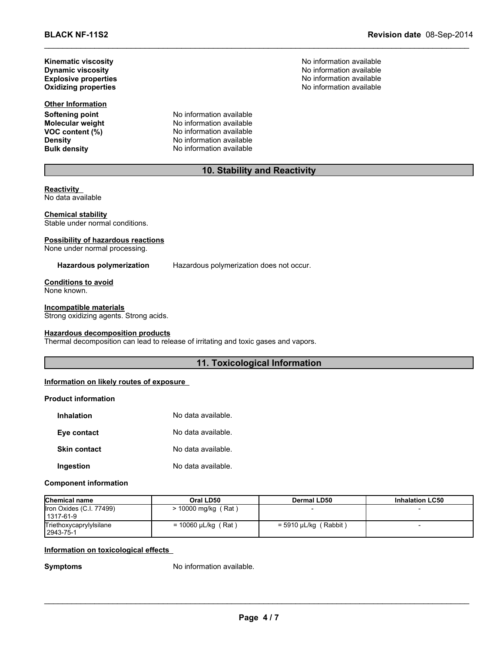**BLACK NF-11S2 Revision date** 08-Sep-2014

No information available **Oxidizing properties** No information available

**Kinematic viscosity**<br> **No information available**<br> **Dynamic viscosity**<br> **No information available Dynamic viscosity Explosive properties**

**Other Information**

**Softening point**<br> **Molecular weight**<br> **Molecular weight**<br> **Molecular weight**<br> **Molecular weight Molecular weight** No information available<br> **VOC content (%)** No information available **VOC** content **(%)** No information available<br>
Density No information available **Density Constitution No information available**<br> **Bulk density No information available No information available** 

# **10. Stability and Reactivity**

\_\_\_\_\_\_\_\_\_\_\_\_\_\_\_\_\_\_\_\_\_\_\_\_\_\_\_\_\_\_\_\_\_\_\_\_\_\_\_\_\_\_\_\_\_\_\_\_\_\_\_\_\_\_\_\_\_\_\_\_\_\_\_\_\_\_\_\_\_\_\_\_\_\_\_\_\_\_\_\_\_\_\_\_\_\_\_\_\_\_\_\_\_

**Reactivity** No data available

**Chemical stability** Stable under normal conditions.

### **Possibility of hazardous reactions**

None under normal processing.

**Hazardous polymerization** Hazardous polymerization does not occur.

**Conditions to avoid** None known.

#### **Incompatible materials**

Strong oxidizing agents. Strong acids.

#### **Hazardous decomposition products**

Thermal decomposition can lead to release of irritating and toxic gases and vapors.

## **11. Toxicological Information**

#### **Information on likely routes of exposure**

## **Product information**

| Inhalation          | No data available. |
|---------------------|--------------------|
| Eye contact         | No data available. |
| <b>Skin contact</b> | No data available. |
| Ingestion           | No data available. |

#### **Component information**

| <b>Chemical name</b>                  | Oral LD50                | Dermal LD50                    | <b>Inhalation LC50</b> |
|---------------------------------------|--------------------------|--------------------------------|------------------------|
| Iron Oxides (C.I. 77499)<br>1317-61-9 | > 10000 mg/kg (Rat)      |                                |                        |
| Triethoxycaprylylsilane<br>2943-75-1  | = 10060 $\mu$ L/kg (Rat) | (Rabbit)<br>$=$ 5910 µL/kg $($ |                        |

#### **Information on toxicological effects**

**Symptoms** No information available.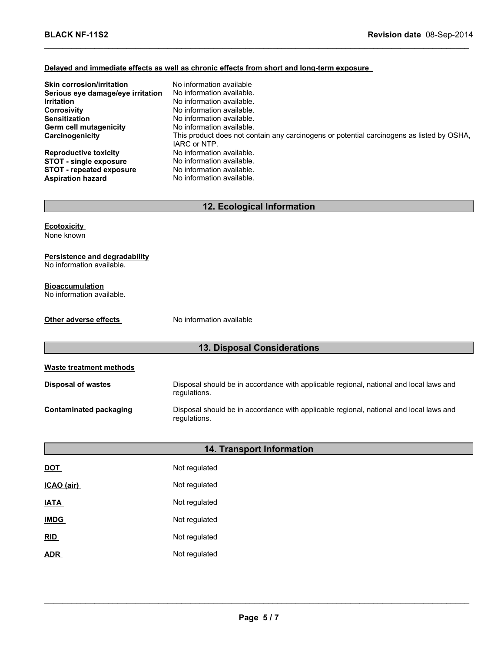#### **Delayed and immediate effects as well as chronic effects from short and long-term exposure**

| <b>Skin corrosion/irritation</b>  | No information available                                                                                  |
|-----------------------------------|-----------------------------------------------------------------------------------------------------------|
| Serious eye damage/eye irritation | No information available.                                                                                 |
| <b>Irritation</b>                 | No information available.                                                                                 |
| <b>Corrosivity</b>                | No information available.                                                                                 |
| <b>Sensitization</b>              | No information available.                                                                                 |
| Germ cell mutagenicity            | No information available.                                                                                 |
| Carcinogenicity                   | This product does not contain any carcinogens or potential carcinogens as listed by OSHA,<br>IARC or NTP. |
| <b>Reproductive toxicity</b>      | No information available.                                                                                 |
| <b>STOT - single exposure</b>     | No information available.                                                                                 |
| <b>STOT - repeated exposure</b>   | No information available.                                                                                 |
| <b>Aspiration hazard</b>          | No information available.                                                                                 |

\_\_\_\_\_\_\_\_\_\_\_\_\_\_\_\_\_\_\_\_\_\_\_\_\_\_\_\_\_\_\_\_\_\_\_\_\_\_\_\_\_\_\_\_\_\_\_\_\_\_\_\_\_\_\_\_\_\_\_\_\_\_\_\_\_\_\_\_\_\_\_\_\_\_\_\_\_\_\_\_\_\_\_\_\_\_\_\_\_\_\_\_\_

# **12. Ecological Information**

**Ecotoxicity**

None known

## **Persistence and degradability**

No information available.

#### **Bioaccumulation**

No information available.

#### **Other adverse effects** No information available

# **13. Disposal Considerations**

| Waste treatment methods |                                                                                                        |
|-------------------------|--------------------------------------------------------------------------------------------------------|
| Disposal of wastes      | Disposal should be in accordance with applicable regional, national and local laws and<br>regulations. |
| Contaminated packaging  | Disposal should be in accordance with applicable regional, national and local laws and<br>regulations. |

| 14. Transport Information |               |
|---------------------------|---------------|
| <b>DOT</b>                | Not regulated |
| ICAO (air)                | Not regulated |
| <b>IATA</b>               | Not regulated |
| <b>IMDG</b>               | Not regulated |
| RID                       | Not regulated |
| <b>ADR</b>                | Not regulated |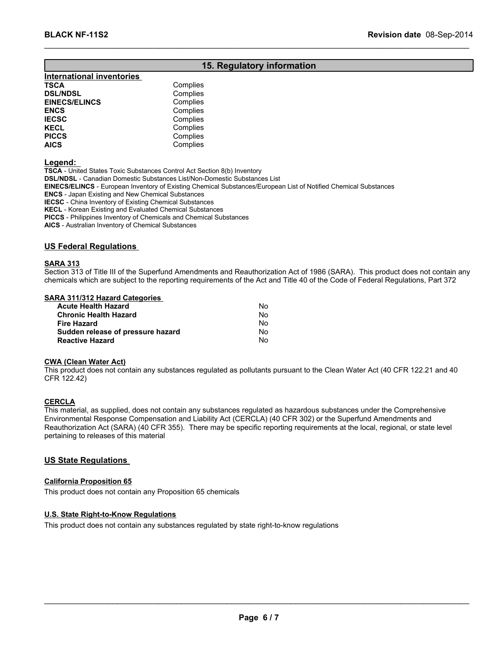## **15. Regulatory information**

\_\_\_\_\_\_\_\_\_\_\_\_\_\_\_\_\_\_\_\_\_\_\_\_\_\_\_\_\_\_\_\_\_\_\_\_\_\_\_\_\_\_\_\_\_\_\_\_\_\_\_\_\_\_\_\_\_\_\_\_\_\_\_\_\_\_\_\_\_\_\_\_\_\_\_\_\_\_\_\_\_\_\_\_\_\_\_\_\_\_\_\_\_

| Complies |
|----------|
|          |
| Complies |
| Complies |
| Complies |
| Complies |
| Complies |
| Complies |
| Complies |
|          |

**Legend:**

**TSCA** - United States Toxic Substances Control Act Section 8(b) Inventory **DSL/NDSL** - Canadian Domestic Substances List/Non-Domestic Substances List **EINECS/ELINCS** - European Inventory of Existing Chemical Substances/European List of Notified Chemical Substances **ENCS** - Japan Existing and New Chemical Substances

**IECSC** - China Inventory of Existing Chemical Substances

**KECL** - Korean Existing and Evaluated Chemical Substances

**PICCS** - Philippines Inventory of Chemicals and Chemical Substances

**AICS** - Australian Inventory of Chemical Substances

**US Federal Regulations**

#### **SARA 313**

Section 313 of Title III of the Superfund Amendments and Reauthorization Act of 1986 (SARA). This product does not contain any chemicals which are subject to the reporting requirements of the Act and Title 40 of the Code of Federal Regulations, Part 372

#### **SARA 311/312 Hazard Categories**

| <b>Acute Health Hazard</b>        | N٥ |
|-----------------------------------|----|
| <b>Chronic Health Hazard</b>      | No |
| <b>Fire Hazard</b>                | Nο |
| Sudden release of pressure hazard | N٥ |
| <b>Reactive Hazard</b>            | N٥ |

#### **CWA (Clean Water Act)**

This product does not contain any substances regulated as pollutants pursuant to the Clean Water Act (40 CFR 122.21 and 40 CFR 122.42)

#### **CERCLA**

This material, as supplied, does not contain any substances regulated as hazardous substances under the Comprehensive Environmental Response Compensation and Liability Act (CERCLA) (40 CFR 302) or the Superfund Amendments and Reauthorization Act (SARA) (40 CFR 355). There may be specific reporting requirements at the local, regional, or state level pertaining to releases of this material

#### **US State Regulations**

#### **California Proposition 65**

This product does not contain any Proposition 65 chemicals

#### **U.S. State Right-to-Know Regulations**

This product does not contain any substances regulated by state right-to-know regulations